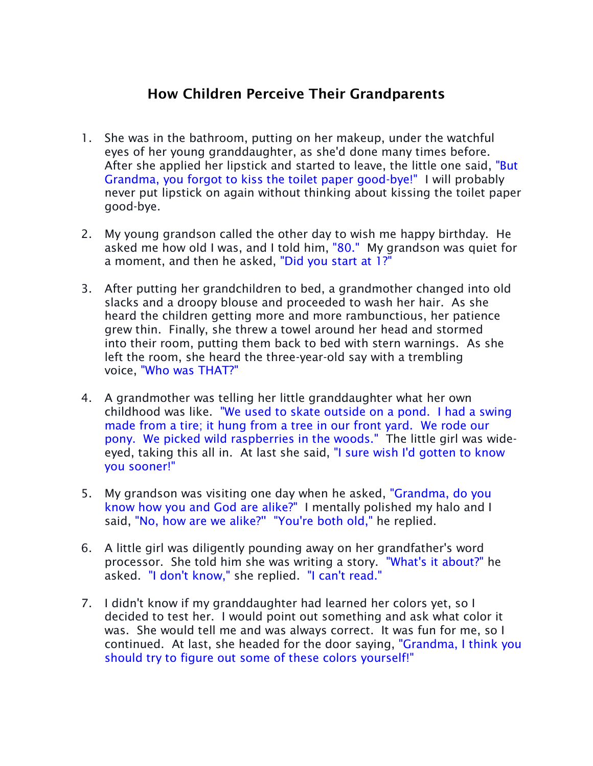## **How Children Perceive Their Grandparents**

- *1. She was in the bathroom, putting on her makeup, under the watchful eyes of her young granddaughter, as she'd done many times before. After she applied her lipstick and started to leave, the little one said, "But Grandma, you forgot to kiss the toilet paper good-bye!" I will probably never put lipstick on again without thinking about kissing the toilet paper good-bye.*
- *2. My young grandson called the other day to wish me happy birthday. He asked me how old I was, and I told him, "80." My grandson was quiet for a moment, and then he asked, "Did you start at 1?"*
- *3. After putting her grandchildren to bed, a grandmother changed into old slacks and a droopy blouse and proceeded to wash her hair. As she heard the children getting more and more rambunctious, her patience grew thin. Finally, she threw a towel around her head and stormed into their room, putting them back to bed with stern warnings. As she left the room, she heard the three-year-old say with a trembling voice, "Who was THAT?"*
- *4. A grandmother was telling her little granddaughter what her own childhood was like. "We used to skate outside on a pond. I had a swing made from a tire; it hung from a tree in our front yard. We rode our pony. We picked wild raspberries in the woods." The little girl was wideeyed, taking this all in. At last she said, "I sure wish I'd gotten to know you sooner!"*
- *5. My grandson was visiting one day when he asked, "Grandma, do you know how you and God are alike?" I mentally polished my halo and I said, "No, how are we alike?'' "You're both old," he replied.*
- *6. A little girl was diligently pounding away on her grandfather's word processor. She told him she was writing a story. "What's it about?" he asked. "I don't know," she replied. "I can't read."*
- *7. I didn't know if my granddaughter had learned her colors yet, so I decided to test her. I would point out something and ask what color it was. She would tell me and was always correct. It was fun for me, so I continued. At last, she headed for the door saying, "Grandma, I think you should try to figure out some of these colors yourself!"*